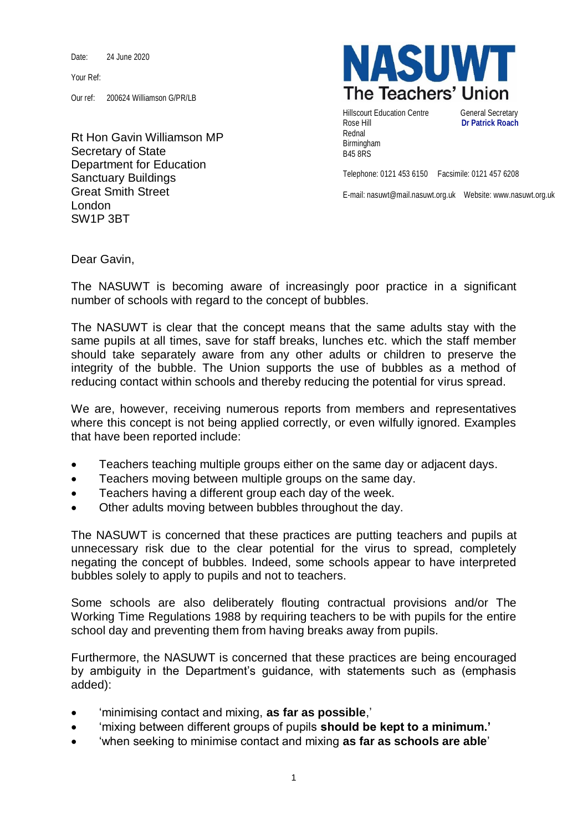Date: 24 June 2020

Your Ref:

Our ref: 200624 Williamson G/PR/LB

Rt Hon Gavin Williamson MP Secretary of State Department for Education Sanctuary Buildings Great Smith Street London SW1P 3BT



Hillscourt Education Centre General Secretary Rose Hill **Dr Patrick Roach** Rednal Birmingham B45 8RS

Telephone: 0121 453 6150 Facsimile: 0121 457 6208

E-mail: nasuwt@mail.nasuwt.org.uk Website: www.nasuwt.org.uk

Dear Gavin,

The NASUWT is becoming aware of increasingly poor practice in a significant number of schools with regard to the concept of bubbles.

The NASUWT is clear that the concept means that the same adults stay with the same pupils at all times, save for staff breaks, lunches etc. which the staff member should take separately aware from any other adults or children to preserve the integrity of the bubble. The Union supports the use of bubbles as a method of reducing contact within schools and thereby reducing the potential for virus spread.

We are, however, receiving numerous reports from members and representatives where this concept is not being applied correctly, or even wilfully ignored. Examples that have been reported include:

- Teachers teaching multiple groups either on the same day or adjacent days.
- **•** Teachers moving between multiple groups on the same day.
- **•** Teachers having a different group each day of the week.
- Other adults moving between bubbles throughout the day.

The NASUWT is concerned that these practices are putting teachers and pupils at unnecessary risk due to the clear potential for the virus to spread, completely negating the concept of bubbles. Indeed, some schools appear to have interpreted bubbles solely to apply to pupils and not to teachers.

Some schools are also deliberately flouting contractual provisions and/or The Working Time Regulations 1988 by requiring teachers to be with pupils for the entire school day and preventing them from having breaks away from pupils.

Furthermore, the NASUWT is concerned that these practices are being encouraged by ambiguity in the Department's guidance, with statements such as (emphasis added):

- 'minimising contact and mixing, **as far as possible**,'
- 'mixing between different groups of pupils **should be kept to a minimum.'**
- 'when seeking to minimise contact and mixing **as far as schools are able**'